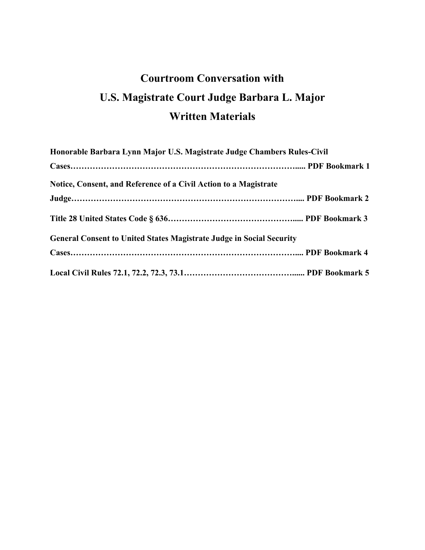# **Courtroom Conversation with U.S. Magistrate Court Judge Barbara L. Major Written Materials**

| Honorable Barbara Lynn Major U.S. Magistrate Judge Chambers Rules-Civil     |  |
|-----------------------------------------------------------------------------|--|
|                                                                             |  |
| Notice, Consent, and Reference of a Civil Action to a Magistrate            |  |
|                                                                             |  |
|                                                                             |  |
| <b>General Consent to United States Magistrate Judge in Social Security</b> |  |
|                                                                             |  |
|                                                                             |  |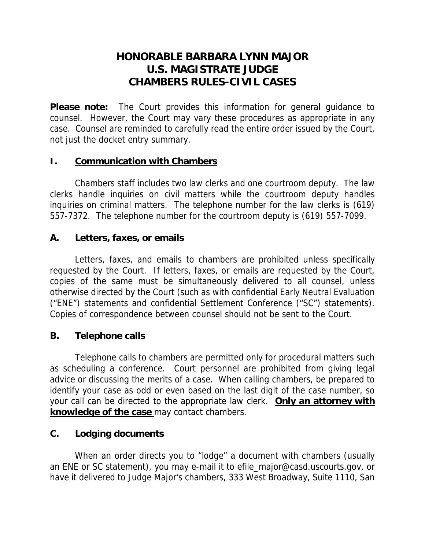# **HONORABLE BARBARA LYNN MAJOR U.S. MAGISTRATE JUDGE CHAMBERS RULES-CIVIL CASES**

**Please note:** The Court provides this information for general guidance to counsel. However, the Court may vary these procedures as appropriate in any case. Counsel are reminded to carefully read the entire order issued by the Court, not just the docket entry summary.

#### **I. Communication with Chambers**

 Chambers staff includes two law clerks and one courtroom deputy. The law clerks handle inquiries on civil matters while the courtroom deputy handles inquiries on criminal matters. The telephone number for the law clerks is (619) 557-7372. The telephone number for the courtroom deputy is (619) 557-7099.

### **A. Letters, faxes, or emails**

 Letters, faxes, and emails to chambers are prohibited unless specifically requested by the Court. If letters, faxes, or emails are requested by the Court, copies of the same must be simultaneously delivered to all counsel, unless otherwise directed by the Court (such as with confidential Early Neutral Evaluation ("ENE") statements and confidential Settlement Conference ("SC") statements). Copies of correspondence between counsel should not be sent to the Court.

### **B. Telephone calls**

 Telephone calls to chambers are permitted only for procedural matters such as scheduling a conference. Court personnel are prohibited from giving legal advice or discussing the merits of a case. When calling chambers, be prepared to identify your case as odd or even based on the last digit of the case number, so your call can be directed to the appropriate law clerk. **Only an attorney with knowledge of the case** may contact chambers.

### **C. Lodging documents**

 When an order directs you to "lodge" a document with chambers (usually an ENE or SC statement), you may e-mail it to efile\_major@casd.uscourts.gov, or have it delivered to Judge Major's chambers, 333 West Broadway, Suite 1110, San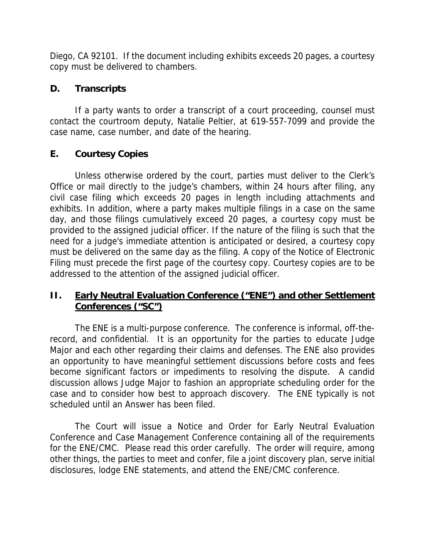Diego, CA 92101. If the document including exhibits exceeds 20 pages, a courtesy copy must be delivered to chambers.

### **D. Transcripts**

If a party wants to order a transcript of a court proceeding, counsel must contact the courtroom deputy, Natalie Peltier, at 619-557-7099 and provide the case name, case number, and date of the hearing.

### **E. Courtesy Copies**

Unless otherwise ordered by the court, parties must deliver to the Clerk's Office or mail directly to the judge's chambers, within 24 hours after filing, any civil case filing which exceeds 20 pages in length including attachments and exhibits. In addition, where a party makes multiple filings in a case on the same day, and those filings cumulatively exceed 20 pages, a courtesy copy must be provided to the assigned judicial officer. If the nature of the filing is such that the need for a judge's immediate attention is anticipated or desired, a courtesy copy must be delivered on the same day as the filing. A copy of the Notice of Electronic Filing must precede the first page of the courtesy copy. Courtesy copies are to be addressed to the attention of the assigned judicial officer.

### **II. Early Neutral Evaluation Conference ("ENE") and other Settlement Conferences ("SC")**

The ENE is a multi-purpose conference. The conference is informal, off-therecord, and confidential. It is an opportunity for the parties to educate Judge Major and each other regarding their claims and defenses. The ENE also provides an opportunity to have meaningful settlement discussions before costs and fees become significant factors or impediments to resolving the dispute. A candid discussion allows Judge Major to fashion an appropriate scheduling order for the case and to consider how best to approach discovery. The ENE typically is not scheduled until an Answer has been filed.

 The Court will issue a Notice and Order for Early Neutral Evaluation Conference and Case Management Conference containing all of the requirements for the ENE/CMC. Please read this order carefully. The order will require, among other things, the parties to meet and confer, file a joint discovery plan, serve initial disclosures, lodge ENE statements, and attend the ENE/CMC conference.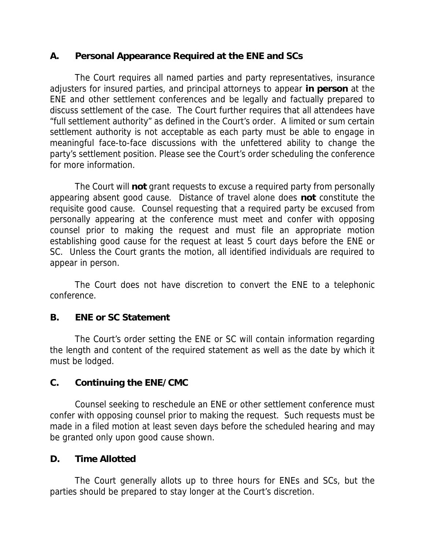### **A. Personal Appearance Required at the ENE and SCs**

 The Court requires all named parties and party representatives, insurance adjusters for insured parties, and principal attorneys to appear **in person** at the ENE and other settlement conferences and be legally and factually prepared to discuss settlement of the case. The Court further requires that all attendees have "full settlement authority" as defined in the Court's order. A limited or sum certain settlement authority is not acceptable as each party must be able to engage in meaningful face-to-face discussions with the unfettered ability to change the party's settlement position. Please see the Court's order scheduling the conference for more information.

The Court will **not** grant requests to excuse a required party from personally appearing absent good cause. Distance of travel alone does **not** constitute the requisite good cause. Counsel requesting that a required party be excused from personally appearing at the conference must meet and confer with opposing counsel prior to making the request and must file an appropriate motion establishing good cause for the request at least 5 court days before the ENE or SC. Unless the Court grants the motion, all identified individuals are required to appear in person.

 The Court does not have discretion to convert the ENE to a telephonic conference.

#### **B. ENE or SC Statement**

 The Court's order setting the ENE or SC will contain information regarding the length and content of the required statement as well as the date by which it must be lodged.

#### **C. Continuing the ENE/CMC**

Counsel seeking to reschedule an ENE or other settlement conference must confer with opposing counsel prior to making the request. Such requests must be made in a filed motion at least seven days before the scheduled hearing and may be granted only upon good cause shown.

#### **D. Time Allotted**

 The Court generally allots up to three hours for ENEs and SCs, but the parties should be prepared to stay longer at the Court's discretion.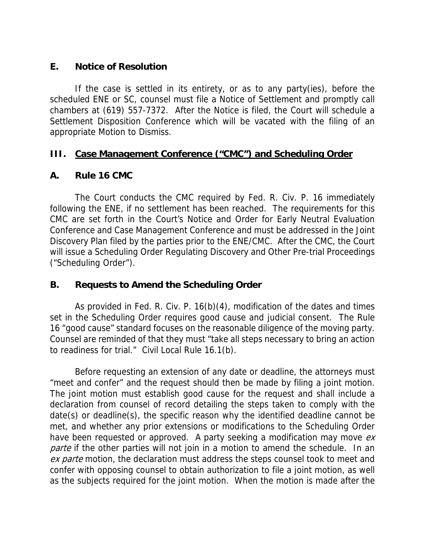### **E. Notice of Resolution**

 If the case is settled in its entirety, or as to any party(ies), before the scheduled ENE or SC, counsel must file a Notice of Settlement and promptly call chambers at (619) 557-7372. After the Notice is filed, the Court will schedule a Settlement Disposition Conference which will be vacated with the filing of an appropriate Motion to Dismiss.

### **III. Case Management Conference ("CMC") and Scheduling Order**

### **A. Rule 16 CMC**

 The Court conducts the CMC required by Fed. R. Civ. P. 16 immediately following the ENE, if no settlement has been reached. The requirements for this CMC are set forth in the Court's Notice and Order for Early Neutral Evaluation Conference and Case Management Conference and must be addressed in the Joint Discovery Plan filed by the parties prior to the ENE/CMC. After the CMC, the Court will issue a Scheduling Order Regulating Discovery and Other Pre-trial Proceedings ("Scheduling Order").

### **B. Requests to Amend the Scheduling Order**

 As provided in Fed. R. Civ. P. 16(b)(4), modification of the dates and times set in the Scheduling Order requires good cause and judicial consent. The Rule 16 "good cause" standard focuses on the reasonable diligence of the moving party. Counsel are reminded of that they must "take all steps necessary to bring an action to readiness for trial." Civil Local Rule 16.1(b).

 Before requesting an extension of any date or deadline, the attorneys must "meet and confer" and the request should then be made by filing a joint motion. The joint motion must establish good cause for the request and shall include a declaration from counsel of record detailing the steps taken to comply with the date(s) or deadline(s), the specific reason why the identified deadline cannot be met, and whether any prior extensions or modifications to the Scheduling Order have been requested or approved. A party seeking a modification may move ex parte if the other parties will not join in a motion to amend the schedule. In an ex parte motion, the declaration must address the steps counsel took to meet and confer with opposing counsel to obtain authorization to file a joint motion, as well as the subjects required for the joint motion. When the motion is made after the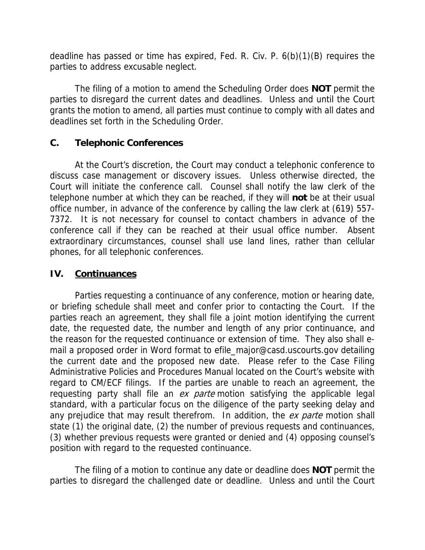deadline has passed or time has expired, Fed. R. Civ. P. 6(b)(1)(B) requires the parties to address excusable neglect.

The filing of a motion to amend the Scheduling Order does **NOT** permit the parties to disregard the current dates and deadlines. Unless and until the Court grants the motion to amend, all parties must continue to comply with all dates and deadlines set forth in the Scheduling Order.

### **C. Telephonic Conferences**

 At the Court's discretion, the Court may conduct a telephonic conference to discuss case management or discovery issues. Unless otherwise directed, the Court will initiate the conference call. Counsel shall notify the law clerk of the telephone number at which they can be reached, if they will **not** be at their usual office number, in advance of the conference by calling the law clerk at (619) 557- 7372. It is not necessary for counsel to contact chambers in advance of the conference call if they can be reached at their usual office number. Absent extraordinary circumstances, counsel shall use land lines, rather than cellular phones, for all telephonic conferences.

### **IV. Continuances**

 Parties requesting a continuance of any conference, motion or hearing date, or briefing schedule shall meet and confer prior to contacting the Court. If the parties reach an agreement, they shall file a joint motion identifying the current date, the requested date, the number and length of any prior continuance, and the reason for the requested continuance or extension of time. They also shall email a proposed order in Word format to efile\_major@casd.uscourts.gov detailing the current date and the proposed new date. Please refer to the Case Filing Administrative Policies and Procedures Manual located on the Court's website with regard to CM/ECF filings. If the parties are unable to reach an agreement, the requesting party shall file an ex parte motion satisfying the applicable legal standard, with a particular focus on the diligence of the party seeking delay and any prejudice that may result therefrom. In addition, the ex parte motion shall state (1) the original date, (2) the number of previous requests and continuances, (3) whether previous requests were granted or denied and (4) opposing counsel's position with regard to the requested continuance.

The filing of a motion to continue any date or deadline does **NOT** permit the parties to disregard the challenged date or deadline. Unless and until the Court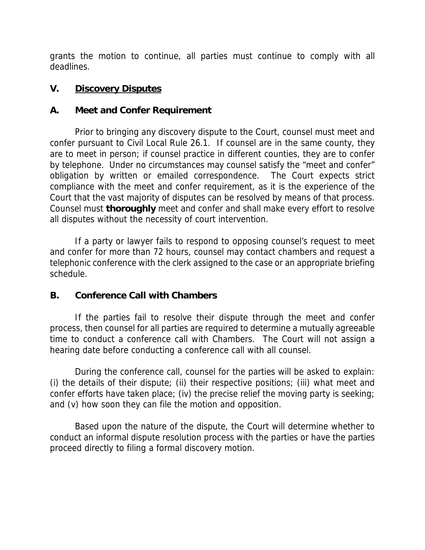grants the motion to continue, all parties must continue to comply with all deadlines.

### **V. Discovery Disputes**

#### **A. Meet and Confer Requirement**

 Prior to bringing any discovery dispute to the Court, counsel must meet and confer pursuant to Civil Local Rule 26.1. If counsel are in the same county, they are to meet in person; if counsel practice in different counties, they are to confer by telephone. Under no circumstances may counsel satisfy the "meet and confer" obligation by written or emailed correspondence. The Court expects strict compliance with the meet and confer requirement, as it is the experience of the Court that the vast majority of disputes can be resolved by means of that process. Counsel must **thoroughly** meet and confer and shall make every effort to resolve all disputes without the necessity of court intervention.

 If a party or lawyer fails to respond to opposing counsel's request to meet and confer for more than 72 hours, counsel may contact chambers and request a telephonic conference with the clerk assigned to the case or an appropriate briefing schedule.

#### **B. Conference Call with Chambers**

 If the parties fail to resolve their dispute through the meet and confer process, then counsel for all parties are required to determine a mutually agreeable time to conduct a conference call with Chambers. The Court will not assign a hearing date before conducting a conference call with all counsel.

 During the conference call, counsel for the parties will be asked to explain: (i) the details of their dispute; (ii) their respective positions; (iii) what meet and confer efforts have taken place; (iv) the precise relief the moving party is seeking; and (v) how soon they can file the motion and opposition.

 Based upon the nature of the dispute, the Court will determine whether to conduct an informal dispute resolution process with the parties or have the parties proceed directly to filing a formal discovery motion.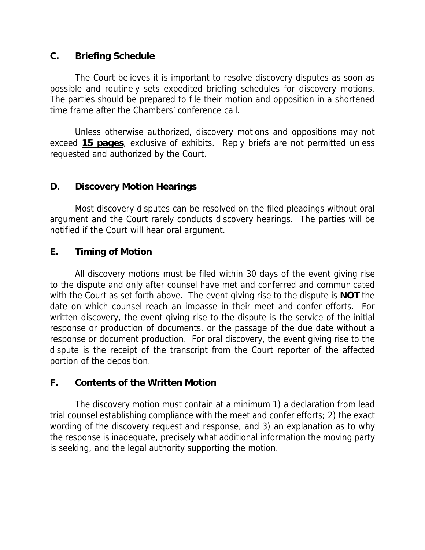#### **C. Briefing Schedule**

 The Court believes it is important to resolve discovery disputes as soon as possible and routinely sets expedited briefing schedules for discovery motions. The parties should be prepared to file their motion and opposition in a shortened time frame after the Chambers' conference call.

 Unless otherwise authorized, discovery motions and oppositions may not exceed **15 pages**, exclusive of exhibits. Reply briefs are not permitted unless requested and authorized by the Court.

### **D. Discovery Motion Hearings**

Most discovery disputes can be resolved on the filed pleadings without oral argument and the Court rarely conducts discovery hearings. The parties will be notified if the Court will hear oral argument.

### **E. Timing of Motion**

 All discovery motions must be filed within 30 days of the event giving rise to the dispute and only after counsel have met and conferred and communicated with the Court as set forth above. The event giving rise to the dispute is **NOT** the date on which counsel reach an impasse in their meet and confer efforts. For written discovery, the event giving rise to the dispute is the service of the initial response or production of documents, or the passage of the due date without a response or document production. For oral discovery, the event giving rise to the dispute is the receipt of the transcript from the Court reporter of the affected portion of the deposition.

#### **F. Contents of the Written Motion**

 The discovery motion must contain at a minimum 1) a declaration from lead trial counsel establishing compliance with the meet and confer efforts; 2) the exact wording of the discovery request and response, and 3) an explanation as to why the response is inadequate, precisely what additional information the moving party is seeking, and the legal authority supporting the motion.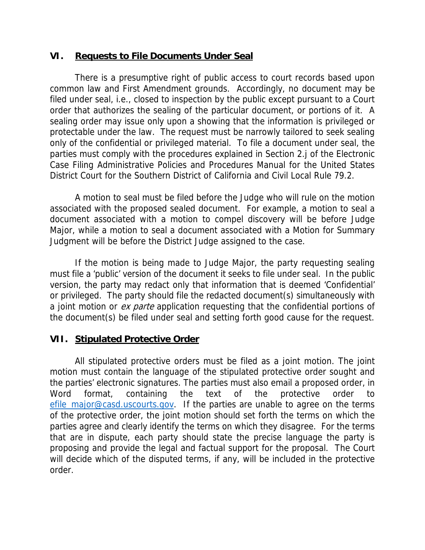#### **VI. Requests to File Documents Under Seal**

 There is a presumptive right of public access to court records based upon common law and First Amendment grounds. Accordingly, no document may be filed under seal, i.e., closed to inspection by the public except pursuant to a Court order that authorizes the sealing of the particular document, or portions of it. A sealing order may issue only upon a showing that the information is privileged or protectable under the law. The request must be narrowly tailored to seek sealing only of the confidential or privileged material. To file a document under seal, the parties must comply with the procedures explained in Section 2.j of the Electronic Case Filing Administrative Policies and Procedures Manual for the United States District Court for the Southern District of California and Civil Local Rule 79.2.

A motion to seal must be filed before the Judge who will rule on the motion associated with the proposed sealed document. For example, a motion to seal a document associated with a motion to compel discovery will be before Judge Major, while a motion to seal a document associated with a Motion for Summary Judgment will be before the District Judge assigned to the case.

If the motion is being made to Judge Major, the party requesting sealing must file a 'public' version of the document it seeks to file under seal. In the public version, the party may redact only that information that is deemed 'Confidential' or privileged. The party should file the redacted document(s) simultaneously with a joint motion or ex parte application requesting that the confidential portions of the document(s) be filed under seal and setting forth good cause for the request.

### **VII. Stipulated Protective Order**

 All stipulated protective orders must be filed as a joint motion. The joint motion must contain the language of the stipulated protective order sought and the parties' electronic signatures. The parties must also email a proposed order, in Word format, containing the text of the protective order to efile major@casd.uscourts.gov. If the parties are unable to agree on the terms of the protective order, the joint motion should set forth the terms on which the parties agree and clearly identify the terms on which they disagree. For the terms that are in dispute, each party should state the precise language the party is proposing and provide the legal and factual support for the proposal. The Court will decide which of the disputed terms, if any, will be included in the protective order.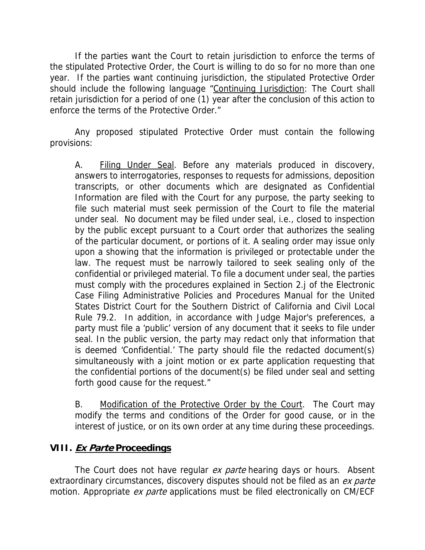If the parties want the Court to retain jurisdiction to enforce the terms of the stipulated Protective Order, the Court is willing to do so for no more than one year. If the parties want continuing jurisdiction, the stipulated Protective Order should include the following language "Continuing Jurisdiction: The Court shall retain jurisdiction for a period of one (1) year after the conclusion of this action to enforce the terms of the Protective Order."

Any proposed stipulated Protective Order must contain the following provisions:

A. Filing Under Seal. Before any materials produced in discovery, answers to interrogatories, responses to requests for admissions, deposition transcripts, or other documents which are designated as Confidential Information are filed with the Court for any purpose, the party seeking to file such material must seek permission of the Court to file the material under seal. No document may be filed under seal, i.e., closed to inspection by the public except pursuant to a Court order that authorizes the sealing of the particular document, or portions of it. A sealing order may issue only upon a showing that the information is privileged or protectable under the law. The request must be narrowly tailored to seek sealing only of the confidential or privileged material. To file a document under seal, the parties must comply with the procedures explained in Section 2.j of the Electronic Case Filing Administrative Policies and Procedures Manual for the United States District Court for the Southern District of California and Civil Local Rule 79.2. In addition, in accordance with Judge Major's preferences, a party must file a 'public' version of any document that it seeks to file under seal. In the public version, the party may redact only that information that is deemed 'Confidential.' The party should file the redacted document(s) simultaneously with a joint motion or ex parte application requesting that the confidential portions of the document(s) be filed under seal and setting forth good cause for the request."

B. Modification of the Protective Order by the Court. The Court may modify the terms and conditions of the Order for good cause, or in the interest of justice, or on its own order at any time during these proceedings.

#### **VIII. Ex Parte Proceedings**

The Court does not have regular ex parte hearing days or hours. Absent extraordinary circumstances, discovery disputes should not be filed as an ex parte motion. Appropriate ex parte applications must be filed electronically on CM/ECF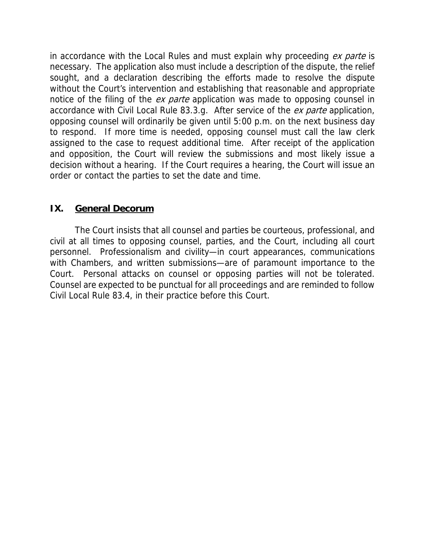in accordance with the Local Rules and must explain why proceeding ex parte is necessary. The application also must include a description of the dispute, the relief sought, and a declaration describing the efforts made to resolve the dispute without the Court's intervention and establishing that reasonable and appropriate notice of the filing of the *ex parte* application was made to opposing counsel in accordance with Civil Local Rule 83.3.g. After service of the ex parte application, opposing counsel will ordinarily be given until 5:00 p.m. on the next business day to respond. If more time is needed, opposing counsel must call the law clerk assigned to the case to request additional time. After receipt of the application and opposition, the Court will review the submissions and most likely issue a decision without a hearing. If the Court requires a hearing, the Court will issue an order or contact the parties to set the date and time.

### **IX. General Decorum**

 The Court insists that all counsel and parties be courteous, professional, and civil at all times to opposing counsel, parties, and the Court, including all court personnel. Professionalism and civility—in court appearances, communications with Chambers, and written submissions—are of paramount importance to the Court. Personal attacks on counsel or opposing parties will not be tolerated. Counsel are expected to be punctual for all proceedings and are reminded to follow Civil Local Rule 83.4, in their practice before this Court.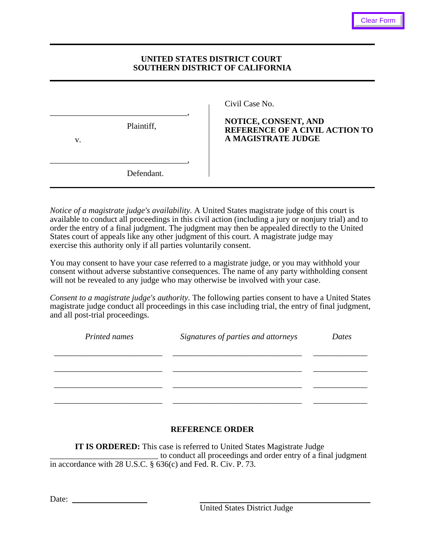#### **UNITED STATES DISTRICT COURT SOUTHERN DISTRICT OF CALIFORNIA**

| Plaintiff, |  |
|------------|--|
|            |  |

\_\_\_\_\_\_\_\_\_\_\_\_\_\_\_\_\_\_\_\_\_\_\_\_\_\_\_\_\_\_\_\_\_,

\_\_\_\_\_\_\_\_\_\_\_\_\_\_\_\_\_\_\_\_\_\_\_\_\_\_\_\_\_\_\_\_\_,

v.

Defendant.

Civil Case No.

**NOTICE, CONSENT, AND REFERENCE OF A CIVIL ACTION TO A MAGISTRATE JUDGE**

*Notice of a magistrate judge's availability.* A United States magistrate judge of this court is available to conduct all proceedings in this civil action (including a jury or nonjury trial) and to order the entry of a final judgment. The judgment may then be appealed directly to the United States court of appeals like any other judgment of this court. A magistrate judge may exercise this authority only if all parties voluntarily consent.

You may consent to have your case referred to a magistrate judge, or you may withhold your consent without adverse substantive consequences. The name of any party withholding consent will not be revealed to any judge who may otherwise be involved with your case.

*Consent to a magistrate judge's authority.* The following parties consent to have a United States magistrate judge conduct all proceedings in this case including trial, the entry of final judgment, and all post-trial proceedings.

| Printed names | Signatures of parties and attorneys | Dates |
|---------------|-------------------------------------|-------|
|               |                                     |       |
|               |                                     |       |
|               |                                     |       |
|               |                                     |       |

#### **REFERENCE ORDER**

**IT IS ORDERED:** This case is referred to United States Magistrate Judge to conduct all proceedings and order entry of a final judgment in accordance with  $28 \text{ U.S.C. }$  §  $636(c)$  and Fed. R. Civ. P. 73.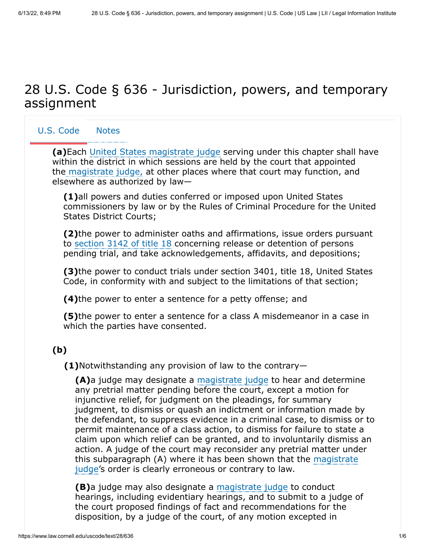# 28 U.S. Code § 636 - Jurisdiction, powers, and temporary assignment

#### <span id="page-12-0"></span>[U.S. Code](#page-12-0) Notes

**(a)**Each [United States magistrate judge](https://www.law.cornell.edu/definitions/uscode.php?width=840&height=800&iframe=true&def_id=28-USC-1229895729-515582938&term_occur=999&term_src=title:28:part:III:chapter:43:section:636) serving under this chapter shall have within the district in which sessions are held by the court that appointed the [magistrate judge,](https://www.law.cornell.edu/definitions/uscode.php?width=840&height=800&iframe=true&def_id=28-USC-607226514-515582938&term_occur=999&term_src=) at other places where that court may function, and elsewhere as authorized by law—

**(1)**all powers and duties conferred or imposed upon United States commissioners by law or by the Rules of Criminal Procedure for the United States District Courts;

**(2)**the power to administer oaths and affirmations, issue orders pursuant to [section 3142 of title 18](https://www.law.cornell.edu/uscode/text/18/3142) concerning release or detention of persons pending trial, and take acknowledgements, affidavits, and depositions;

**(3)**the power to conduct trials under section 3401, title 18, United States Code, in conformity with and subject to the limitations of that section;

**(4)**the power to enter a sentence for a petty offense; and

**(5)**the power to enter a sentence for a class A misdemeanor in a case in which the parties have consented.

#### **(b)**

**(1)**Notwithstanding any provision of law to the contrary—

**(A)**a judge may designate a [magistrate judge](https://www.law.cornell.edu/definitions/uscode.php?width=840&height=800&iframe=true&def_id=28-USC-607226514-515582938&term_occur=999&term_src=) to hear and determine any pretrial matter pending before the court, except a motion for injunctive relief, for judgment on the pleadings, for summary judgment, to dismiss or quash an indictment or information made by the defendant, to suppress evidence in a criminal case, to dismiss or to permit maintenance of a class action, to dismiss for failure to state a claim upon which relief can be granted, and to involuntarily dismiss an action. A judge of the court may reconsider any pretrial matter under [this subparagraph \(A\) where it has been shown that the](https://www.law.cornell.edu/definitions/uscode.php?width=840&height=800&iframe=true&def_id=28-USC-607226514-515582938&term_occur=999&term_src=) magistrate judge's order is clearly erroneous or contrary to law.

**(B)**a judge may also designate a [magistrate judge](https://www.law.cornell.edu/definitions/uscode.php?width=840&height=800&iframe=true&def_id=28-USC-607226514-515582938&term_occur=999&term_src=) to conduct hearings, including evidentiary hearings, and to submit to a judge of the court proposed findings of fact and recommendations for the disposition, by a judge of the court, of any motion excepted in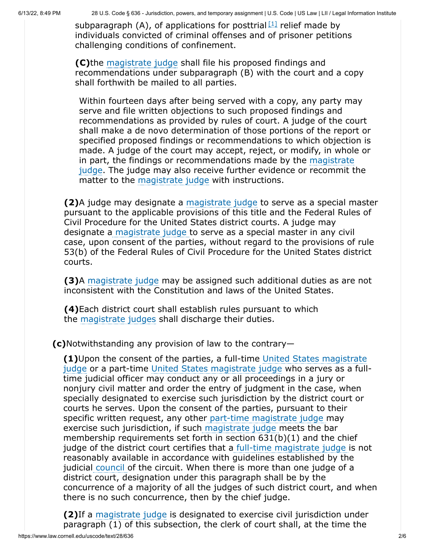subparagraph (A), of applications for posttrial $[1]$  relief made by individuals convicted of criminal offenses and of prisoner petitions challenging conditions of confinement.

**(C)**the [magistrate judge](https://www.law.cornell.edu/definitions/uscode.php?width=840&height=800&iframe=true&def_id=28-USC-607226514-515582938&term_occur=999&term_src=) shall file his proposed findings and recommendations under subparagraph (B) with the court and a copy shall forthwith be mailed to all parties.

Within fourteen days after being served with a copy, any party may serve and file written objections to such proposed findings and recommendations as provided by rules of court. A judge of the court shall make a de novo determination of those portions of the report or specified proposed findings or recommendations to which objection is made. A judge of the court may accept, reject, or modify, in whole or in part, the findings or recommendations made by the magistrate [judge. The judge may also receive further evidence or recommit t](https://www.law.cornell.edu/definitions/uscode.php?width=840&height=800&iframe=true&def_id=28-USC-607226514-515582938&term_occur=999&term_src=)he matter to the [magistrate judge](https://www.law.cornell.edu/definitions/uscode.php?width=840&height=800&iframe=true&def_id=28-USC-607226514-515582938&term_occur=999&term_src=) with instructions.

**(2)**A judge may designate a [magistrate judge](https://www.law.cornell.edu/definitions/uscode.php?width=840&height=800&iframe=true&def_id=28-USC-607226514-515582938&term_occur=999&term_src=) to serve as a special master pursuant to the applicable provisions of this title and the Federal Rules of Civil Procedure for the United States district courts. A judge may designate a [magistrate judge](https://www.law.cornell.edu/definitions/uscode.php?width=840&height=800&iframe=true&def_id=28-USC-607226514-515582938&term_occur=999&term_src=) to serve as a special master in any civil case, upon consent of the parties, without regard to the provisions of rule 53(b) of the Federal Rules of Civil Procedure for the United States district courts.

**(3)**A [magistrate judge](https://www.law.cornell.edu/definitions/uscode.php?width=840&height=800&iframe=true&def_id=28-USC-607226514-515582938&term_occur=999&term_src=) may be assigned such additional duties as are not inconsistent with the Constitution and laws of the United States.

**(4)**Each district court shall establish rules pursuant to which the [magistrate judges](https://www.law.cornell.edu/definitions/uscode.php?width=840&height=800&iframe=true&def_id=28-USC-607226514-515582938&term_occur=999&term_src=) shall discharge their duties.

**(c)**Notwithstanding any provision of law to the contrary—

**(1)**[Upon the consent of the parties, a full-time](https://www.law.cornell.edu/definitions/uscode.php?width=840&height=800&iframe=true&def_id=28-USC-1229895729-515582938&term_occur=999&term_src=title:28:part:III:chapter:43:section:636) United States magistrate judge or a part-time [United States magistrate judge](https://www.law.cornell.edu/definitions/uscode.php?width=840&height=800&iframe=true&def_id=28-USC-1229895729-515582938&term_occur=999&term_src=title:28:part:III:chapter:43:section:636) who serves as a fulltime judicial officer may conduct any or all proceedings in a jury or nonjury civil matter and order the entry of judgment in the case, when specially designated to exercise such jurisdiction by the district court or courts he serves. Upon the consent of the parties, pursuant to their specific written request, any other [part-time magistrate judge](https://www.law.cornell.edu/definitions/uscode.php?width=840&height=800&iframe=true&def_id=28-USC-306693081-515582939&term_occur=999&term_src=title:28:part:III:chapter:43:section:636) may exercise such jurisdiction, if such [magistrate judge](https://www.law.cornell.edu/definitions/uscode.php?width=840&height=800&iframe=true&def_id=28-USC-607226514-515582938&term_occur=999&term_src=) meets the bar membership requirements set forth in section 631(b)(1) and the chief judge of the district court certifies that a [full-time magistrate judge](https://www.law.cornell.edu/definitions/uscode.php?width=840&height=800&iframe=true&def_id=28-USC-177545789-515582940&term_occur=999&term_src=title:28:part:III:chapter:43:section:636) is not reasonably available in accordance with guidelines established by the judicial [council](https://www.law.cornell.edu/definitions/uscode.php?width=840&height=800&iframe=true&def_id=28-USC-1672499583-515582942&term_occur=999&term_src=title:28:part:III:chapter:43:section:636) of the circuit. When there is more than one judge of a district court, designation under this paragraph shall be by the concurrence of a majority of all the judges of such district court, and when there is no such concurrence, then by the chief judge.

https://www.law.cornell.edu/uscode/text/28/636 2/6 **(2)**If a [magistrate judge](https://www.law.cornell.edu/definitions/uscode.php?width=840&height=800&iframe=true&def_id=28-USC-607226514-515582938&term_occur=999&term_src=) is designated to exercise civil jurisdiction under paragraph (1) of this subsection, the clerk of court shall, at the time the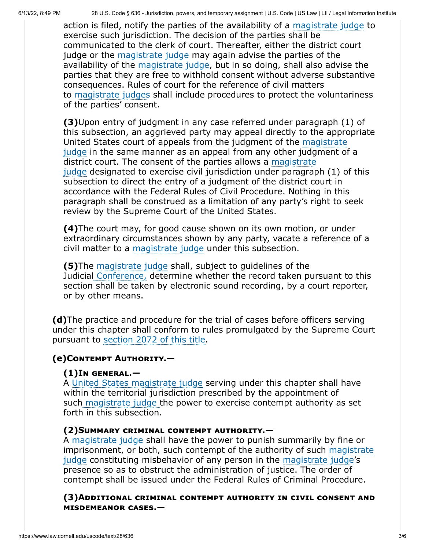action is filed, notify the parties of the availability of a [magistrate judge](https://www.law.cornell.edu/definitions/uscode.php?width=840&height=800&iframe=true&def_id=28-USC-607226514-515582938&term_occur=999&term_src=) to exercise such jurisdiction. The decision of the parties shall be communicated to the clerk of court. Thereafter, either the district court judge or the [magistrate judge](https://www.law.cornell.edu/definitions/uscode.php?width=840&height=800&iframe=true&def_id=28-USC-607226514-515582938&term_occur=999&term_src=) may again advise the parties of the availability of the [magistrate judge,](https://www.law.cornell.edu/definitions/uscode.php?width=840&height=800&iframe=true&def_id=28-USC-607226514-515582938&term_occur=999&term_src=) but in so doing, shall also advise the parties that they are free to withhold consent without adverse substantive consequences. Rules of court for the reference of civil matters to [magistrate judges](https://www.law.cornell.edu/definitions/uscode.php?width=840&height=800&iframe=true&def_id=28-USC-607226514-515582938&term_occur=999&term_src=) shall include procedures to protect the voluntariness of the parties' consent.

**(3)**Upon entry of judgment in any case referred under paragraph (1) of this subsection, an aggrieved party may appeal directly to the appropriate United States court of appeals from the judgment of the magistrate judge [in the same manner as an appeal from any other judgment of](https://www.law.cornell.edu/definitions/uscode.php?width=840&height=800&iframe=true&def_id=28-USC-607226514-515582938&term_occur=999&term_src=) a district court. The consent of the parties allows a magistrate judge [designated to exercise civil jurisdiction under paragrap](https://www.law.cornell.edu/definitions/uscode.php?width=840&height=800&iframe=true&def_id=28-USC-607226514-515582938&term_occur=999&term_src=)h (1) of this subsection to direct the entry of a judgment of the district court in accordance with the Federal Rules of Civil Procedure. Nothing in this paragraph shall be construed as a limitation of any party's right to seek review by the Supreme Court of the United States.

**(4)**The court may, for good cause shown on its own motion, or under extraordinary circumstances shown by any party, vacate a reference of a civil matter to a [magistrate judge](https://www.law.cornell.edu/definitions/uscode.php?width=840&height=800&iframe=true&def_id=28-USC-607226514-515582938&term_occur=999&term_src=) under this subsection.

**(5)**The [magistrate judge](https://www.law.cornell.edu/definitions/uscode.php?width=840&height=800&iframe=true&def_id=28-USC-607226514-515582938&term_occur=999&term_src=) shall, subject to guidelines of the Judicial [Conference,](https://www.law.cornell.edu/definitions/uscode.php?width=840&height=800&iframe=true&def_id=28-USC-1573838532-515582943&term_occur=999&term_src=title:28:part:III:chapter:43:section:636) determine whether the record taken pursuant to this section shall be taken by electronic sound recording, by a court reporter, or by other means.

**(d)**The practice and procedure for the trial of cases before officers serving under this chapter shall conform to rules promulgated by the Supreme Court pursuant to [section 2072 of this title.](https://www.law.cornell.edu/uscode/text/28/2072)

#### **(e)Contempt Authority.—**

#### **(1)In general.—**

A [United States magistrate judge](https://www.law.cornell.edu/definitions/uscode.php?width=840&height=800&iframe=true&def_id=28-USC-1229895729-515582938&term_occur=999&term_src=title:28:part:III:chapter:43:section:636) serving under this chapter shall have within the territorial jurisdiction prescribed by the appointment of such [magistrate judge](https://www.law.cornell.edu/definitions/uscode.php?width=840&height=800&iframe=true&def_id=28-USC-607226514-515582938&term_occur=999&term_src=) the power to exercise contempt authority as set forth in this subsection.

#### **(2)Summary criminal contempt authority.—**

A [magistrate judge](https://www.law.cornell.edu/definitions/uscode.php?width=840&height=800&iframe=true&def_id=28-USC-607226514-515582938&term_occur=999&term_src=) shall have the power to punish summarily by fine or [imprisonment, or both, such contempt of the authority of such](https://www.law.cornell.edu/definitions/uscode.php?width=840&height=800&iframe=true&def_id=28-USC-607226514-515582938&term_occur=999&term_src=) magistrate judge constituting misbehavior of any person in the [magistrate judge](https://www.law.cornell.edu/definitions/uscode.php?width=840&height=800&iframe=true&def_id=28-USC-607226514-515582938&term_occur=999&term_src=)'s presence so as to obstruct the administration of justice. The order of contempt shall be issued under the Federal Rules of Criminal Procedure.

#### **(3)Additional criminal contempt authority in civil consent and misdemeanor cases.—**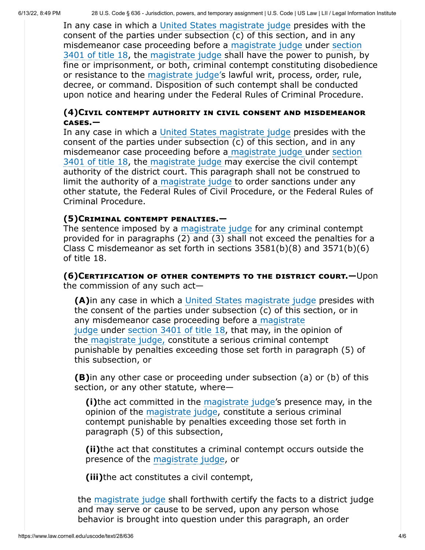In any case in which a [United States magistrate judge](https://www.law.cornell.edu/definitions/uscode.php?width=840&height=800&iframe=true&def_id=28-USC-1229895729-515582938&term_occur=999&term_src=title:28:part:III:chapter:43:section:636) presides with the consent of the parties under subsection (c) of this section, and in any [misdemeanor case proceeding before a](https://www.law.cornell.edu/uscode/text/18/3401) [magistrate judge](https://www.law.cornell.edu/definitions/uscode.php?width=840&height=800&iframe=true&def_id=28-USC-607226514-515582938&term_occur=999&term_src=) under section 3401 of title 18, the [magistrate judge](https://www.law.cornell.edu/definitions/uscode.php?width=840&height=800&iframe=true&def_id=28-USC-607226514-515582938&term_occur=999&term_src=) shall have the power to punish, by fine or imprisonment, or both, criminal contempt constituting disobedience or resistance to the [magistrate judge's](https://www.law.cornell.edu/definitions/uscode.php?width=840&height=800&iframe=true&def_id=28-USC-607226514-515582938&term_occur=999&term_src=title:28:part:III:chapter:43:section:636) lawful writ, process, order, rule, decree, or command. Disposition of such contempt shall be conducted upon notice and hearing under the Federal Rules of Criminal Procedure.

#### **(4)Civil contempt authority in civil consent and misdemeanor cases.—**

In any case in which a [United States magistrate judge](https://www.law.cornell.edu/definitions/uscode.php?width=840&height=800&iframe=true&def_id=28-USC-1229895729-515582938&term_occur=999&term_src=title:28:part:III:chapter:43:section:636) presides with the consent of the parties under subsection (c) of this section, and in any [misdemeanor case proceeding before a](https://www.law.cornell.edu/uscode/text/18/3401) [magistrate judge](https://www.law.cornell.edu/definitions/uscode.php?width=840&height=800&iframe=true&def_id=28-USC-607226514-515582938&term_occur=999&term_src=) under section 3401 of title 18, the [magistrate judge](https://www.law.cornell.edu/definitions/uscode.php?width=840&height=800&iframe=true&def_id=28-USC-607226514-515582938&term_occur=999&term_src=) may exercise the civil contempt authority of the district court. This paragraph shall not be construed to limit the authority of a [magistrate judge](https://www.law.cornell.edu/definitions/uscode.php?width=840&height=800&iframe=true&def_id=28-USC-607226514-515582938&term_occur=999&term_src=) to order sanctions under any other statute, the Federal Rules of Civil Procedure, or the Federal Rules of Criminal Procedure.

#### **(5)Criminal contempt penalties.—**

The sentence imposed by a [magistrate judge](https://www.law.cornell.edu/definitions/uscode.php?width=840&height=800&iframe=true&def_id=28-USC-607226514-515582938&term_occur=999&term_src=) for any criminal contempt provided for in paragraphs (2) and (3) shall not exceed the penalties for a Class C misdemeanor as set forth in sections 3581(b)(8) and 3571(b)(6) of title 18.

**(6)Certification of other contempts to the district court.—**Upon the commission of any such act—

**(A)**in any case in which a [United States magistrate judge](https://www.law.cornell.edu/definitions/uscode.php?width=840&height=800&iframe=true&def_id=28-USC-1229895729-515582938&term_occur=999&term_src=title:28:part:III:chapter:43:section:636) presides with the consent of the parties under subsection (c) of this section, or in [any misdemeanor case proceeding before a](https://www.law.cornell.edu/definitions/uscode.php?width=840&height=800&iframe=true&def_id=28-USC-607226514-515582938&term_occur=999&term_src=) magistrate judge under [section 3401 of title 18](https://www.law.cornell.edu/uscode/text/18/3401), that may, in the opinion of the [magistrate judge,](https://www.law.cornell.edu/definitions/uscode.php?width=840&height=800&iframe=true&def_id=28-USC-607226514-515582938&term_occur=999&term_src=) constitute a serious criminal contempt punishable by penalties exceeding those set forth in paragraph (5) of this subsection, or

**(B)**in any other case or proceeding under subsection (a) or (b) of this section, or any other statute, where—

**(i)**the act committed in the [magistrate judge](https://www.law.cornell.edu/definitions/uscode.php?width=840&height=800&iframe=true&def_id=28-USC-607226514-515582938&term_occur=999&term_src=)'s presence may, in the opinion of the [magistrate judge](https://www.law.cornell.edu/definitions/uscode.php?width=840&height=800&iframe=true&def_id=28-USC-607226514-515582938&term_occur=999&term_src=), constitute a serious criminal contempt punishable by penalties exceeding those set forth in paragraph (5) of this subsection,

**(ii)**the act that constitutes a criminal contempt occurs outside the presence of the [magistrate judge,](https://www.law.cornell.edu/definitions/uscode.php?width=840&height=800&iframe=true&def_id=28-USC-607226514-515582938&term_occur=999&term_src=) or

**(iii)**the act constitutes a civil contempt,

the [magistrate judge](https://www.law.cornell.edu/definitions/uscode.php?width=840&height=800&iframe=true&def_id=28-USC-607226514-515582938&term_occur=999&term_src=) shall forthwith certify the facts to a district judge and may serve or cause to be served, upon any person whose behavior is brought into question under this paragraph, an order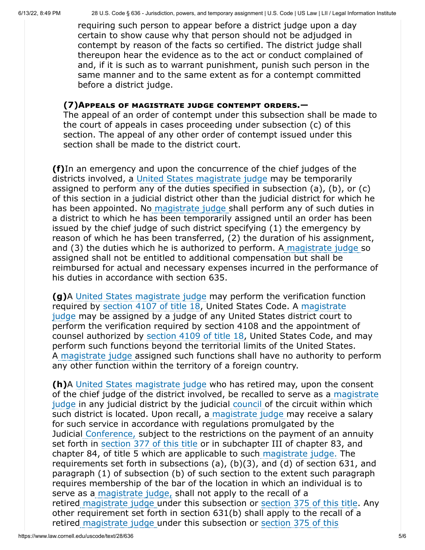requiring such person to appear before a district judge upon a day certain to show cause why that person should not be adjudged in contempt by reason of the facts so certified. The district judge shall thereupon hear the evidence as to the act or conduct complained of and, if it is such as to warrant punishment, punish such person in the same manner and to the same extent as for a contempt committed before a district judge.

#### **(7)Appeals of magistrate judge contempt orders.—**

The appeal of an order of contempt under this subsection shall be made to the court of appeals in cases proceeding under subsection (c) of this section. The appeal of any other order of contempt issued under this section shall be made to the district court.

**(f)**In an emergency and upon the concurrence of the chief judges of the districts involved, a [United States magistrate judge](https://www.law.cornell.edu/definitions/uscode.php?width=840&height=800&iframe=true&def_id=28-USC-1229895729-515582938&term_occur=999&term_src=title:28:part:III:chapter:43:section:636) may be temporarily assigned to perform any of the duties specified in subsection (a), (b), or (c) of this section in a judicial district other than the judicial district for which he has been appointed. No [magistrate judge](https://www.law.cornell.edu/definitions/uscode.php?width=840&height=800&iframe=true&def_id=28-USC-607226514-515582938&term_occur=999&term_src=) shall perform any of such duties in a district to which he has been temporarily assigned until an order has been issued by the chief judge of such district specifying (1) the emergency by reason of which he has been transferred, (2) the duration of his assignment, and (3) the duties which he is authorized to perform. A [magistrate judge](https://www.law.cornell.edu/definitions/uscode.php?width=840&height=800&iframe=true&def_id=28-USC-607226514-515582938&term_occur=999&term_src=) so assigned shall not be entitled to additional compensation but shall be reimbursed for actual and necessary expenses incurred in the performance of his duties in accordance with section 635.

**(g)**A [United States magistrate judge](https://www.law.cornell.edu/definitions/uscode.php?width=840&height=800&iframe=true&def_id=28-USC-1229895729-515582938&term_occur=999&term_src=title:28:part:III:chapter:43:section:636) may perform the verification function required by [section 4107 of title 18](https://www.law.cornell.edu/uscode/text/18/4107), United States Code. A magistrate judge [may be assigned by a judge of any United States district court t](https://www.law.cornell.edu/definitions/uscode.php?width=840&height=800&iframe=true&def_id=28-USC-607226514-515582938&term_occur=999&term_src=)o perform the verification required by section 4108 and the appointment of counsel authorized by [section 4109 of title 18,](https://www.law.cornell.edu/uscode/text/18/4109) United States Code, and may perform such functions beyond the territorial limits of the United States. A [magistrate judge](https://www.law.cornell.edu/definitions/uscode.php?width=840&height=800&iframe=true&def_id=28-USC-607226514-515582938&term_occur=999&term_src=) assigned such functions shall have no authority to perform any other function within the territory of a foreign country.

**(h)**A [United States magistrate judge](https://www.law.cornell.edu/definitions/uscode.php?width=840&height=800&iframe=true&def_id=28-USC-1229895729-515582938&term_occur=999&term_src=title:28:part:III:chapter:43:section:636) who has retired may, upon the consent [of the chief judge of the district involved, be recalled to serve as a](https://www.law.cornell.edu/definitions/uscode.php?width=840&height=800&iframe=true&def_id=28-USC-607226514-515582938&term_occur=999&term_src=) magistrate judge in any judicial district by the judicial [council](https://www.law.cornell.edu/definitions/uscode.php?width=840&height=800&iframe=true&def_id=28-USC-1672499583-515582942&term_occur=999&term_src=title:28:part:III:chapter:43:section:636) of the circuit within which such district is located. Upon recall, a [magistrate judge](https://www.law.cornell.edu/definitions/uscode.php?width=840&height=800&iframe=true&def_id=28-USC-607226514-515582938&term_occur=999&term_src=) may receive a salary for such service in accordance with regulations promulgated by the Judicial [Conference,](https://www.law.cornell.edu/definitions/uscode.php?width=840&height=800&iframe=true&def_id=28-USC-1573838532-515582943&term_occur=999&term_src=title:28:part:III:chapter:43:section:636) subject to the restrictions on the payment of an annuity set forth in [section 377 of this title](https://www.law.cornell.edu/uscode/text/28/377) or in subchapter III of chapter 83, and chapter 84, of title 5 which are applicable to such [magistrate judge.](https://www.law.cornell.edu/definitions/uscode.php?width=840&height=800&iframe=true&def_id=28-USC-607226514-515582938&term_occur=999&term_src=title:28:part:III:chapter:43:section:636) The requirements set forth in subsections (a), (b)(3), and (d) of section 631, and paragraph (1) of subsection (b) of such section to the extent such paragraph requires membership of the bar of the location in which an individual is to serve as a [magistrate judge,](https://www.law.cornell.edu/definitions/uscode.php?width=840&height=800&iframe=true&def_id=28-USC-607226514-515582938&term_occur=999&term_src=) shall not apply to the recall of a retired [magistrate judge](https://www.law.cornell.edu/definitions/uscode.php?width=840&height=800&iframe=true&def_id=28-USC-607226514-515582938&term_occur=999&term_src=) under this subsection or [section 375 of this title](https://www.law.cornell.edu/uscode/text/28/375). Any other requirement set forth in section 631(b) shall apply to the recall of a retired [magistrate judge](https://www.law.cornell.edu/definitions/uscode.php?width=840&height=800&iframe=true&def_id=28-USC-607226514-515582938&term_occur=999&term_src=) [under this subsection or](https://www.law.cornell.edu/uscode/text/28/375) section 375 of this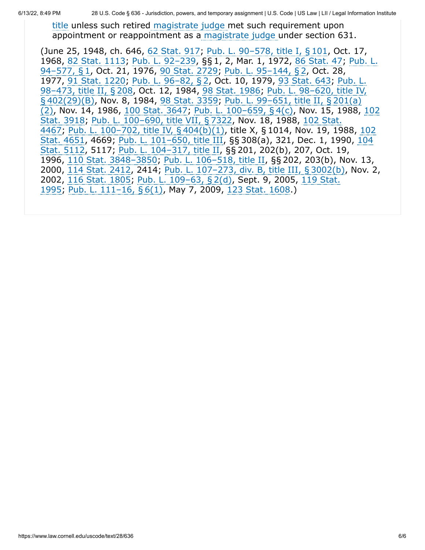title unless such retired [magistrate judge](https://www.law.cornell.edu/definitions/uscode.php?width=840&height=800&iframe=true&def_id=28-USC-607226514-515582938&term_occur=999&term_src=) [met such requirement upo](https://www.law.cornell.edu/uscode/text/28/375)n appointment or reappointment as a [magistrate judge](https://www.law.cornell.edu/definitions/uscode.php?width=840&height=800&iframe=true&def_id=28-USC-607226514-515582938&term_occur=999&term_src=) under section 631.

(June 25, 1948, ch. 646, [62 Stat. 917](https://www.law.cornell.edu/rio/citation/62_Stat._917); [Pub. L. 90–578, title I, § 101](https://www.law.cornell.edu/rio/citation/Pub._L._90-578), Oct. 17, 1968, [82 Stat. 1113](https://www.law.cornell.edu/rio/citation/82_Stat._1113); [Pub. L. 92–23](https://www.law.cornell.edu/rio/citation/Pub._L._92-239)[9, §§ 1, 2,](https://www.law.cornell.edu/rio/citation/Pub._L._94-577) Mar. 1, 1972, [86 Stat. 47](https://www.law.cornell.edu/rio/citation/86_Stat._47); Pub. L. 94–577, § 1, Oct. 21, 1976, [90 Stat. 2729;](https://www.law.cornell.edu/rio/citation/90_Stat._2729) [Pub. L. 95–144, § 2,](https://www.law.cornell.edu/rio/citation/Pub._L._95-144) Oct. 28, 1977, [91 Stat. 1220](https://www.law.cornell.edu/rio/citation/91_Stat._1220); [Pub. L. 96–82, § 2](https://www.law.cornell.edu/rio/citation/Pub._L._96-82), Oct. 10, 1979, [93 Stat. 643;](https://www.law.cornell.edu/rio/citation/93_Stat._643) Pub. L. 98–473, title II, § 208, Oct. 12, 1984, [98 Stat. 1986;](https://www.law.cornell.edu/rio/citation/98_Stat._1986) [Pub. L. 98–620, title IV,](https://www.law.cornell.edu/rio/citation/Pub._L._98-473) § 402(29)(B), Nov. 8, 1984, [98 Stat. 3359](https://www.law.cornell.edu/rio/citation/98_Stat._3359); [Pub. L. 99–651, title II, § 201\(a\)](https://www.law.cornell.edu/rio/citation/Pub._L._98-620) (2), Nov. 14, 1986, [100 Stat. 3647](https://www.law.cornell.edu/rio/citation/100_Stat._3647); [Pub. L. 100–659, § 4\(c\)](https://www.law.cornell.edu/rio/citation/Pub._L._100-659), Nov. 15, 1988, 102 Stat. 3918; [Pub. L. 100–690, title VII, § 7322,](https://www.law.cornell.edu/rio/citation/102_Stat._3918) Nov. 18, 1988, 102 Stat. 4467; [Pub. L. 100–702, title IV, § 404\(b\)\(1\), title X, § 1014,](https://www.law.cornell.edu/rio/citation/102_Stat._4467) Nov. 19, 1988, 102 Stat. 4651, 4669; [Pub. L. 101–650, title III,](https://www.law.cornell.edu/rio/citation/Pub._L._101-650) §§ 308(a), 321, Dec. 1, 1990, 104 Stat. 5112, 5117; [Pub. L. 104–317, title II, §§ 201, 202\(b\), 207,](https://www.law.cornell.edu/rio/citation/104_Stat._5112) Oct. 19, 1996, [110 Stat. 3848–3850](https://www.law.cornell.edu/rio/citation/110_Stat._3848-3850); [Pub. L. 106–518, title II,](https://www.law.cornell.edu/rio/citation/Pub._L._106-518) §§ 202, 203(b), Nov. 13, 2000, [114 Stat. 2412,](https://www.law.cornell.edu/rio/citation/114_Stat._2412) 2414; [Pub. L. 107–273, div. B, title III, § 3002\(b\)](https://www.law.cornell.edu/rio/citation/Pub._L._107-273), Nov. 2, 2002, [116 Stat. 1805;](https://www.law.cornell.edu/rio/citation/116_Stat._1805) [Pub. L. 109–63, § 2\(d\)](https://www.law.cornell.edu/rio/citation/Pub._L._109-63), Sept. 9, 2005, 119 Stat. 1995; [Pub. L. 111–16, § 6\(1\),](https://www.law.cornell.edu/rio/citation/119_Stat._1995) May 7, 2009, [123 Stat. 1608](https://www.law.cornell.edu/rio/citation/123_Stat._1608).)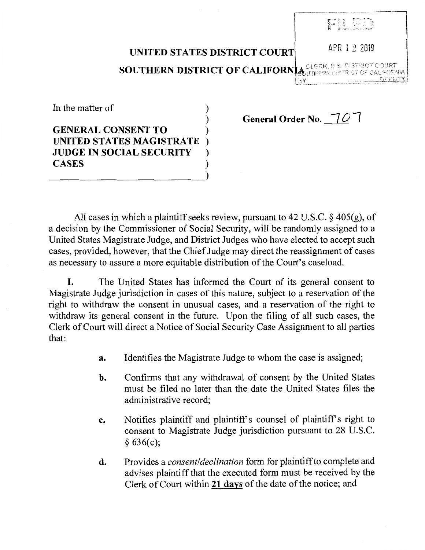$\mathbf{\mathring{B}}$ - $\mathbf{\mathring{z}}$   $\mathbf{\mathring{y}}$  ,  $\mathbf{\mathring{y}}$  ,  $\mathbf{\mathring{y}}$ ~·~ :;~

# **UNITED STATES DISTRICT COURT** APR 1 *2* <sup>2019</sup>

**SOUTHERN DISTRICT OF CALIFORNIA** CLERK, U.S. DISTRICT COURT  $H \rightarrow \mathbf{Y}$ 

In the matter of (1)

) **GENERAL CONSENT TO** ) **UNITED STATES MAGISTRATE** ) **JUDGE IN SOCIAL SECURITY** ) **CASES** )

~~~~~~~~-)

**General Order No.** 70 <sup>1</sup>

All cases in which a plaintiff seeks review, pursuant to 42 U.S.C. § 405(g), of a decision by the Commissioner of Social Security, will be randomly assigned to a United States Magistrate Judge, and District Judges who have elected to accept such cases, provided, however, that the Chief Judge may direct the reassignment of cases as necessary to assure a more equitable distribution of the Court's caseload.

**I.** The United States has informed the Court of its general consent to Magistrate Judge jurisdiction in cases of this nature, subject to a reservation of the right to withdraw the consent in unusual cases, and a reservation of the right to withdraw its general consent in the future. Upon the filing of all such cases, the Clerk of Court will direct a Notice of Social Security Case Assignment to all parties that:

- **a.** Identifies the Magistrate Judge to whom the case is assigned;
- **b.** Confirms that any withdrawal of consent by the United States must be filed no later than the date the United States files the administrative record;
- **c.** Notifies plaintiff and plaintiff's counsel of plaintiff's right to consent to Magistrate Judge jurisdiction pursuant to 28 U.S.C.  $§ 636(c);$
- **d.** Provides a *consent/declination* form for plaintiff to complete and advises plaintiff that the executed form must be received by the Clerk of Court within **21 days** of the date of the notice; and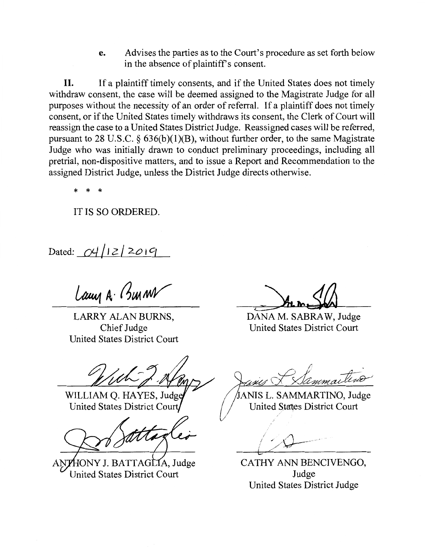e. Advises the parties as to the Court's procedure as set forth below in the absence of plaintiff's consent.

II. If a plaintiff timely consents, and if the United States does not timely withdraw consent, the case will be deemed assigned to the Magistrate Judge for all purposes without the necessity of an order of referral. If a plaintiff does not timely consent, or if the United States timely withdraws its consent, the Clerk of Court will reassign the case to a United States District Judge. Reassigned cases will be referred, pursuant to 28 U.S.C.  $\S$  636(b)(1)(B), without further order, to the same Magistrate Judge who was initially drawn to conduct preliminary proceedings, including all pretrial, non-dispositive matters, and to issue a Report and Recommendation to the assigned District Judge, unless the District Judge directs otherwise.

\* \* \*

IT IS SO ORDERED.

Dated: *a-/* /1 *z\_* / 20 <sup>i</sup>*<sup>q</sup>*

 $\bullet$  . The state of the state of the state of the state of the state of the state of the state of the state of the state of the state of the state of the state of the state of the state of the state of the state of the st

LARRY ALAN BURNS, Chief Judge United States District Court

WILLIAM Q. HAYES, Judge United States District Court/

ANTHONY J. BATTAGLIA, Judge United States District Court

DANA M. SABRAW, Judge United States District Court

~d'~~

ANIS L. SAMMARTINO, Judge United States District Court

, *,/·/\* \_,. ./' . ./ <sup>~</sup>

CATHY ANN BENCIVENGO, Judge United States District Judge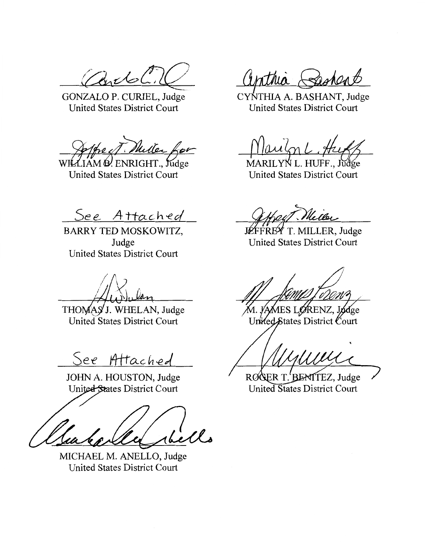$\int$ 

GONZALO P. CURIEL, Judge United States District Court

 $\overline{1}$   $\overline{1}$   $\overline{1}$   $\overline{1}$   $\overline{1}$   $\overline{1}$   $\overline{1}$   $\overline{1}$   $\overline{1}$   $\overline{1}$   $\overline{1}$   $\overline{1}$   $\overline{1}$   $\overline{1}$   $\overline{1}$   $\overline{1}$   $\overline{1}$   $\overline{1}$   $\overline{1}$   $\overline{1}$   $\overline{1}$   $\overline{1}$   $\overline{1}$   $\overline{1}$   $\overline{$ 

WILLIAM  $\ddot{\mathbf{\Theta}}$ . ENRIGHT., Judge United States District Court

See Attached

BARRY TED MOSKOWITZ, Judge United States District Court

THOMAS J. WHELAN, Judge United States District Court

*See* J4tt *ac '1-ed* 

JOHN A. HOUSTON, Judge United-States District Court

MICHAEL M. ANELLO, Judge United States District Court

Inthia Sachan ~~

CYNTHIA A. BASHANT, Judge United States District Court

| | autor L. Huff<br>MARILYN L. HUFF., Judge  ${\mathcal{M}}$ au ${\mathcal{G}}$ n

United States District Court

*Coffee T. Me* 

United States District Court ~

MES LØRENZ, J dge United States District Court

'<

ROGER T. BENITEZ, Judge United-States District Court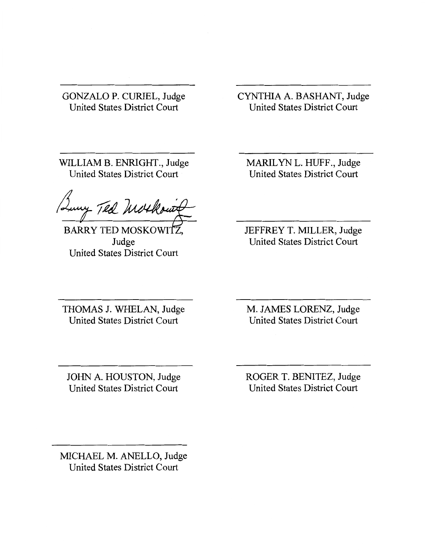GONZALO P. CURIEL, Judge United States District Court

WILLIAM B. ENRIGHT., Judge United States District Court

Ted mor

BARRY TED MOSKOWITZ, Judge United States District Court

CYNTHIA A. BASHANT, Judge United States District Court

MARILYN L. HUFF., Judge United States District Court

JEFFREY T. MILLER, Judge United States District Court

THOMAS J. WHELAN, Judge United States District Court

JOHN A. HOUSTON, Judge United States District Court

ROGER T. BENITEZ, Judge United States District Court

M. JAMES LORENZ, Judge United States District Court

MICHAEL M. ANELLO, Judge United States District Court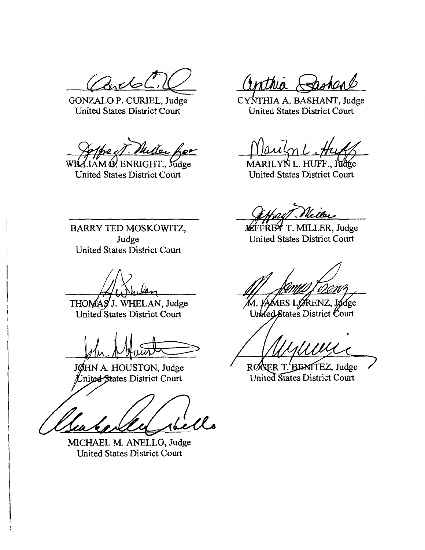$\mathcal{A}$ c24r:k=24r:k=24r:k=24r:k=24r:k=24r:k=24r:k=24r:k=24r:k=24r:k=24r:k=24r:k=24r:k=24r:k=24r:k=24r:k=24r:k=24r:k=2

GONZALO P. CURIEL, Judge United States District Court

WILLIAM B. ENRIGHT., Judge United States District Court

CYNTHIA A. BASHANT, Judge United States District Court

 ${\bf f}$  , and a set of the set of the set of the set of the set of the set of the set of the set of the set of the set of the set of the set of the set of the set of the set of the set of the set of the set of the set of t

MARILYN L. HUFF., Judge United States District Court

———————————————————— -- $\mathcal{L}$ 

 $\cancel{\pi}$ rrp T. MILLER, Judge United States District Court

MES LØRENZ, J dge United States District Court

EZ, Judge RØG United States District Court

BARRY TED MOSKOWITZ, Judge United States District Court

THOMAS J. WHELAN, Judge United States District Court

JØHN A. HOUSTON, Judge United States District Court

MICHAEL M. ANELLO, Judge United States District Court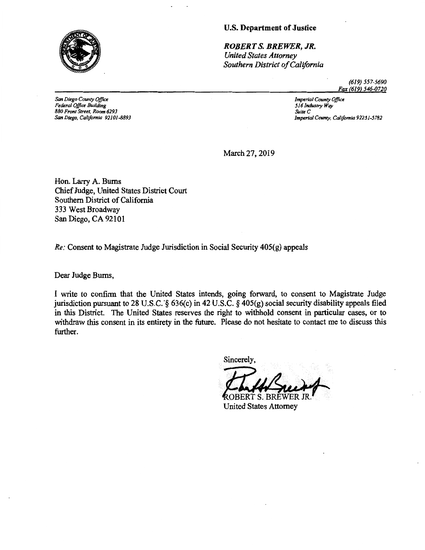#### U.S. Department of Justice

*ROBERTS. BREWER, JR. United States Attorney Southern District of California* 

> *(619) 557-5690 Fax (619) 546-0720*

*imperial County Office 516lndustry Way SuiteC lmpertal County, California 92251-5782* 

March 27, 2019

Hon. Larry A. Bums Chief Judge, United States District Court Southern District of California 333 West Broadway San Diego, CA 92101

*Re:* Consent to Magistrate Judge Jurisdiction in Social Security 405(g) appeals

Dear Judge Burns,

I write to confirm that the United States intends, going forward, to consent to Magistrate Judge jurisdiction pursuant to 28 U.S.C. § 636(c) in 42 U.S.C. § 405(g) social security disability appeals filed in this District. The United States reserves the right to withhold consent in particular cases, or to withdraw this consent in its entirety in the future. Please do not hesitate to contact me to discuss this further.

Sincerely,

ВF

United States Attorney



San *Diego County Office Federal Office Building 880 Front Street, Room 6293*  San *Diego, California 92101-8893*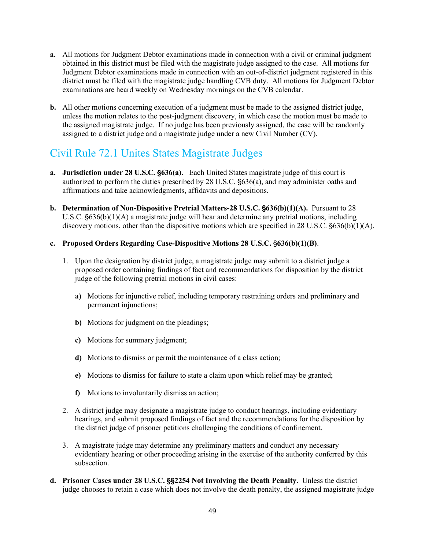- **a.** All motions for Judgment Debtor examinations made in connection with a civil or criminal judgment obtained in this district must be filed with the magistrate judge assigned to the case. All motions for Judgment Debtor examinations made in connection with an out-of-district judgment registered in this district must be filed with the magistrate judge handling CVB duty. All motions for Judgment Debtor examinations are heard weekly on Wednesday mornings on the CVB calendar.
- **b.** All other motions concerning execution of a judgment must be made to the assigned district judge, unless the motion relates to the post-judgment discovery, in which case the motion must be made to the assigned magistrate judge. If no judge has been previously assigned, the case will be randomly assigned to a district judge and a magistrate judge under a new Civil Number (CV).

# Civil Rule 72.1 Unites States Magistrate Judges

- **a. Jurisdiction under 28 U.S.C. §636(a).** Each United States magistrate judge of this court is authorized to perform the duties prescribed by 28 U.S.C. §636(a), and may administer oaths and affirmations and take acknowledgments, affidavits and depositions.
- **b. Determination of Non-Dispositive Pretrial Matters-28 U.S.C.** '**636(b)(1)(A).** Pursuant to 28 U.S.C.  $\S636(b)(1)(A)$  a magistrate judge will hear and determine any pretrial motions, including discovery motions, other than the dispositive motions which are specified in 28 U.S.C.  $\S 636(b)(1)(A)$ .

#### **c. Proposed Orders Regarding Case-Dispositive Motions 28 U.S.C.** '**636(b)(1)(B)**.

- 1. Upon the designation by district judge, a magistrate judge may submit to a district judge a proposed order containing findings of fact and recommendations for disposition by the district judge of the following pretrial motions in civil cases:
	- **a)** Motions for injunctive relief, including temporary restraining orders and preliminary and permanent injunctions;
	- **b)** Motions for judgment on the pleadings;
	- **c)** Motions for summary judgment;
	- **d)** Motions to dismiss or permit the maintenance of a class action;
	- **e)** Motions to dismiss for failure to state a claim upon which relief may be granted;
	- **f)** Motions to involuntarily dismiss an action;
- 2. A district judge may designate a magistrate judge to conduct hearings, including evidentiary hearings, and submit proposed findings of fact and the recommendations for the disposition by the district judge of prisoner petitions challenging the conditions of confinement.
- 3. A magistrate judge may determine any preliminary matters and conduct any necessary evidentiary hearing or other proceeding arising in the exercise of the authority conferred by this subsection.
- d. Prisoner Cases under 28 U.S.C. §§2254 Not Involving the Death Penalty. Unless the district judge chooses to retain a case which does not involve the death penalty, the assigned magistrate judge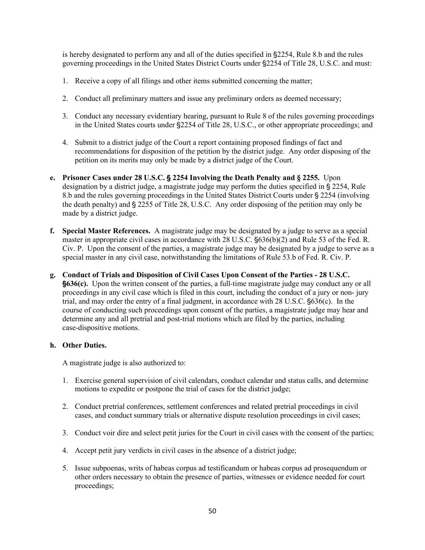is hereby designated to perform any and all of the duties specified in  $\S 2254$ , Rule 8.b and the rules governing proceedings in the United States District Courts under  $\S2254$  of Title 28, U.S.C. and must:

- 1. Receive a copy of all filings and other items submitted concerning the matter;
- 2. Conduct all preliminary matters and issue any preliminary orders as deemed necessary;
- 3. Conduct any necessary evidentiary hearing, pursuant to Rule 8 of the rules governing proceedings in the United States courts under §2254 of Title 28, U.S.C., or other appropriate proceedings; and
- 4. Submit to a district judge of the Court a report containing proposed findings of fact and recommendations for disposition of the petition by the district judge. Any order disposing of the petition on its merits may only be made by a district judge of the Court.
- **e.** Prisoner Cases under 28 U.S.C. § 2254 Involving the Death Penalty and § 2255. Upon designation by a district judge, a magistrate judge may perform the duties specified in § 2254, Rule 8.b and the rules governing proceedings in the United States District Courts under § 2254 (involving the death penalty) and  $\S$  2255 of Title 28, U.S.C. Any order disposing of the petition may only be made by a district judge.
- **f. Special Master References.** A magistrate judge may be designated by a judge to serve as a special master in appropriate civil cases in accordance with  $28$  U.S.C.  $\S 636(b)(2)$  and Rule 53 of the Fed. R. Civ. P. Upon the consent of the parties, a magistrate judge may be designated by a judge to serve as a special master in any civil case, notwithstanding the limitations of Rule 53.b of Fed. R. Civ. P.
- **g. Conduct of Trials and Disposition of Civil Cases Upon Consent of the Parties - 28 U.S.C.**  '**636(c).** Upon the written consent of the parties, a full-time magistrate judge may conduct any or all proceedings in any civil case which is filed in this court, including the conduct of a jury or non- jury trial, and may order the entry of a final judgment, in accordance with  $28$  U.S.C.  $\S636(c)$ . In the course of conducting such proceedings upon consent of the parties, a magistrate judge may hear and determine any and all pretrial and post-trial motions which are filed by the parties, including case-dispositive motions.

#### **h. Other Duties.**

A magistrate judge is also authorized to:

- 1. Exercise general supervision of civil calendars, conduct calendar and status calls, and determine motions to expedite or postpone the trial of cases for the district judge;
- 2. Conduct pretrial conferences, settlement conferences and related pretrial proceedings in civil cases, and conduct summary trials or alternative dispute resolution proceedings in civil cases;
- 3. Conduct voir dire and select petit juries for the Court in civil cases with the consent of the parties;
- 4. Accept petit jury verdicts in civil cases in the absence of a district judge;
- 5. Issue subpoenas, writs of habeas corpus ad testificandum or habeas corpus ad prosequendum or other orders necessary to obtain the presence of parties, witnesses or evidence needed for court proceedings;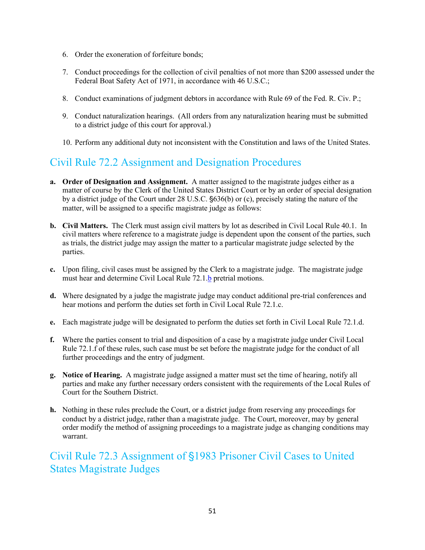- 6. Order the exoneration of forfeiture bonds;
- 7. Conduct proceedings for the collection of civil penalties of not more than \$200 assessed under the Federal Boat Safety Act of 1971, in accordance with 46 U.S.C.;
- 8. Conduct examinations of judgment debtors in accordance with Rule 69 of the Fed. R. Civ. P.;
- 9. Conduct naturalization hearings. (All orders from any naturalization hearing must be submitted to a district judge of this court for approval.)
- 10. Perform any additional duty not inconsistent with the Constitution and laws of the United States.

# Civil Rule 72.2 Assignment and Designation Procedures

- **a. Order of Designation and Assignment.** A matter assigned to the magistrate judges either as a matter of course by the Clerk of the United States District Court or by an order of special designation by a district judge of the Court under 28 U.S.C.  $\S 636(b)$  or (c), precisely stating the nature of the matter, will be assigned to a specific magistrate judge as follows:
- **b. Civil Matters.** The Clerk must assign civil matters by lot as described in Civil Local Rule 40.1. In civil matters where reference to a magistrate judge is dependent upon the consent of the parties, such as trials, the district judge may assign the matter to a particular magistrate judge selected by the parties.
- **c.** Upon filing, civil cases must be assigned by the Clerk to a magistrate judge. The magistrate judge must hear and determine Civil Local Rule 72.1.b pretrial motions.
- **d.** Where designated by a judge the magistrate judge may conduct additional pre-trial conferences and hear motions and perform the duties set forth in Civil Local Rule 72.1.c.
- **e.** Each magistrate judge will be designated to perform the duties set forth in Civil Local Rule 72.1.d.
- **f.** Where the parties consent to trial and disposition of a case by a magistrate judge under Civil Local Rule 72.1.f of these rules, such case must be set before the magistrate judge for the conduct of all further proceedings and the entry of judgment.
- **g. Notice of Hearing.** A magistrate judge assigned a matter must set the time of hearing, notify all parties and make any further necessary orders consistent with the requirements of the Local Rules of Court for the Southern District.
- **h.** Nothing in these rules preclude the Court, or a district judge from reserving any proceedings for conduct by a district judge, rather than a magistrate judge. The Court, moreover, may by general order modify the method of assigning proceedings to a magistrate judge as changing conditions may warrant.

# Civil Rule 72.3 Assignment of §1983 Prisoner Civil Cases to United States Magistrate Judges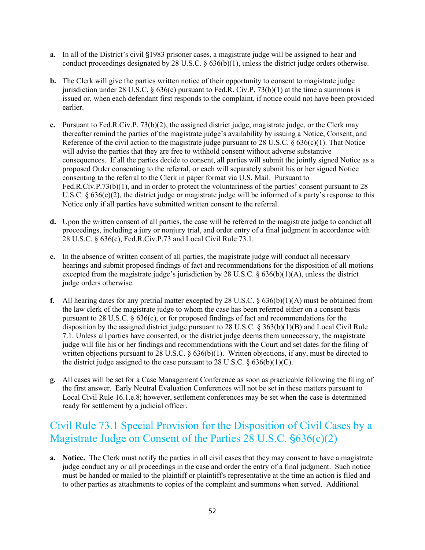- **a.** In all of the District's civil §1983 prisoner cases, a magistrate judge will be assigned to hear and conduct proceedings designated by 28 U.S.C.  $\S 636(b)(1)$ , unless the district judge orders otherwise.
- **b.** The Clerk will give the parties written notice of their opportunity to consent to magistrate judge jurisdiction under 28 U.S.C. § 636(c) pursuant to Fed.R. Civ.P. 73(b)(1) at the time a summons is issued or, when each defendant first responds to the complaint, if notice could not have been provided earlier.
- **c.** Pursuant to Fed.R.Civ.P. 73(b)(2), the assigned district judge, magistrate judge, or the Clerk may thereafter remind the parties of the magistrate judge's availability by issuing a Notice, Consent, and Reference of the civil action to the magistrate judge pursuant to 28 U.S.C.  $\delta$  636(c)(1). That Notice will advise the parties that they are free to withhold consent without adverse substantive consequences. If all the parties decide to consent, all parties will submit the jointly signed Notice as a proposed Order consenting to the referral, or each will separately submit his or her signed Notice consenting to the referral to the Clerk in paper format via U.S. Mail. Pursuant to Fed.R.Civ.P.73(b)(1), and in order to protect the voluntariness of the parties' consent pursuant to 28 U.S.C. § 636(c)(2), the district judge or magistrate judge will be informed of a party's response to this Notice only if all parties have submitted written consent to the referral.
- **d.** Upon the written consent of all parties, the case will be referred to the magistrate judge to conduct all proceedings, including a jury or nonjury trial, and order entry of a final judgment in accordance with 28 U.S.C. § 636(c), Fed.R.Civ.P.73 and Local Civil Rule 73.1.
- **e.** In the absence of written consent of all parties, the magistrate judge will conduct all necessary hearings and submit proposed findings of fact and recommendations for the disposition of all motions excepted from the magistrate judge's jurisdiction by 28 U.S.C.  $\S$  636(b)(1)(A), unless the district judge orders otherwise.
- **f.** All hearing dates for any pretrial matter excepted by 28 U.S.C.  $\S 636(b)(1)(A)$  must be obtained from the law clerk of the magistrate judge to whom the case has been referred either on a consent basis pursuant to 28 U.S.C. § 636(c), or for proposed findings of fact and recommendations for the disposition by the assigned district judge pursuant to 28 U.S.C.  $\S 363(b)(1)(B)$  and Local Civil Rule 7.1. Unless all parties have consented, or the district judge deems them unnecessary, the magistrate judge will file his or her findings and recommendations with the Court and set dates for the filing of written objections pursuant to 28 U.S.C.  $\S 636(b)(1)$ . Written objections, if any, must be directed to the district judge assigned to the case pursuant to 28 U.S.C.  $\S 636(b)(1)(C)$ .
- **g.** All cases will be set for a Case Management Conference as soon as practicable following the filing of the first answer. Early Neutral Evaluation Conferences will not be set in these matters pursuant to Local Civil Rule 16.1.e.8; however, settlement conferences may be set when the case is determined ready for settlement by a judicial officer.

# Civil Rule 73.1 Special Provision for the Disposition of Civil Cases by a Magistrate Judge on Consent of the Parties  $28$  U.S.C.  $\S 636(c)(2)$

**a. Notice.** The Clerk must notify the parties in all civil cases that they may consent to have a magistrate judge conduct any or all proceedings in the case and order the entry of a final judgment. Such notice must be handed or mailed to the plaintiff or plaintiff's representative at the time an action is filed and to other parties as attachments to copies of the complaint and summons when served. Additional